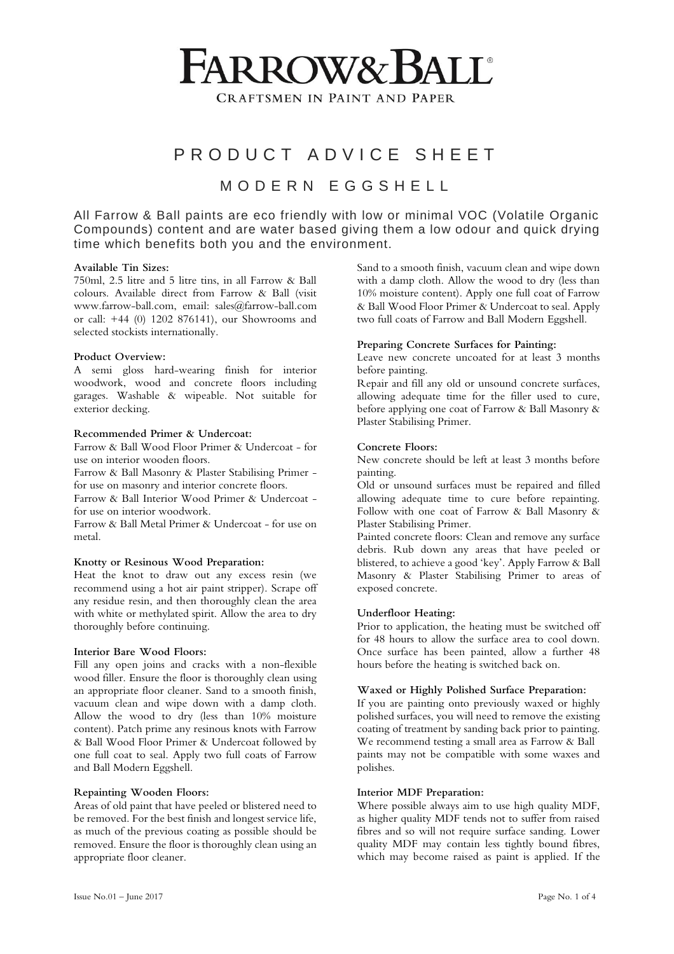# **FARROW&BALL**

**CRAFTSMEN IN PAINT AND PAPER** 

## P R O D U C T A D V I C E S H E E T

### M O D E R N E G G S H E L L

All Farrow & Ball paints are eco friendly with low or minimal VOC (Volatile Organic Compounds) content and are water based giving them a low odour and quick drying time which benefits both you and the environment.

#### **Available Tin Sizes:**

750ml, 2.5 litre and 5 litre tins, in all Farrow & Ball colours. Available direct from Farrow & Ball (visit www.farrow-ball.com, email: sales@farrow-ball.com or call: +44 (0) 1202 876141), our Showrooms and selected stockists internationally.

#### **Product Overview:**

A semi gloss hard-wearing finish for interior woodwork, wood and concrete floors including garages. Washable & wipeable. Not suitable for exterior decking.

#### **Recommended Primer & Undercoat:**

Farrow & Ball Wood Floor Primer & Undercoat - for use on interior wooden floors.

Farrow & Ball Masonry & Plaster Stabilising Primer for use on masonry and interior concrete floors.

Farrow & Ball Interior Wood Primer & Undercoat for use on interior woodwork.

Farrow & Ball Metal Primer & Undercoat - for use on metal.

#### **Knotty or Resinous Wood Preparation:**

Heat the knot to draw out any excess resin (we recommend using a hot air paint stripper). Scrape off any residue resin, and then thoroughly clean the area with white or methylated spirit. Allow the area to dry thoroughly before continuing.

#### **Interior Bare Wood Floors:**

Fill any open joins and cracks with a non-flexible wood filler. Ensure the floor is thoroughly clean using an appropriate floor cleaner. Sand to a smooth finish, vacuum clean and wipe down with a damp cloth. Allow the wood to dry (less than 10% moisture content). Patch prime any resinous knots with Farrow & Ball Wood Floor Primer & Undercoat followed by one full coat to seal. Apply two full coats of Farrow and Ball Modern Eggshell.

#### **Repainting Wooden Floors:**

Areas of old paint that have peeled or blistered need to be removed. For the best finish and longest service life, as much of the previous coating as possible should be removed. Ensure the floor is thoroughly clean using an appropriate floor cleaner.

Sand to a smooth finish, vacuum clean and wipe down with a damp cloth. Allow the wood to dry (less than 10% moisture content). Apply one full coat of Farrow & Ball Wood Floor Primer & Undercoat to seal. Apply two full coats of Farrow and Ball Modern Eggshell.

#### **Preparing Concrete Surfaces for Painting:**

Leave new concrete uncoated for at least 3 months before painting.

Repair and fill any old or unsound concrete surfaces, allowing adequate time for the filler used to cure, before applying one coat of Farrow & Ball Masonry & Plaster Stabilising Primer.

#### **Concrete Floors:**

New concrete should be left at least 3 months before painting.

Old or unsound surfaces must be repaired and filled allowing adequate time to cure before repainting. Follow with one coat of Farrow & Ball Masonry & Plaster Stabilising Primer.

Painted concrete floors: Clean and remove any surface debris. Rub down any areas that have peeled or blistered, to achieve a good 'key'. Apply Farrow & Ball Masonry & Plaster Stabilising Primer to areas of exposed concrete.

#### **Underfloor Heating:**

Prior to application, the heating must be switched off for 48 hours to allow the surface area to cool down. Once surface has been painted, allow a further 48 hours before the heating is switched back on.

#### **Waxed or Highly Polished Surface Preparation:**

If you are painting onto previously waxed or highly polished surfaces, you will need to remove the existing coating of treatment by sanding back prior to painting. We recommend testing a small area as Farrow & Ball paints may not be compatible with some waxes and polishes.

#### **Interior MDF Preparation:**

Where possible always aim to use high quality MDF, as higher quality MDF tends not to suffer from raised fibres and so will not require surface sanding. Lower quality MDF may contain less tightly bound fibres, which may become raised as paint is applied. If the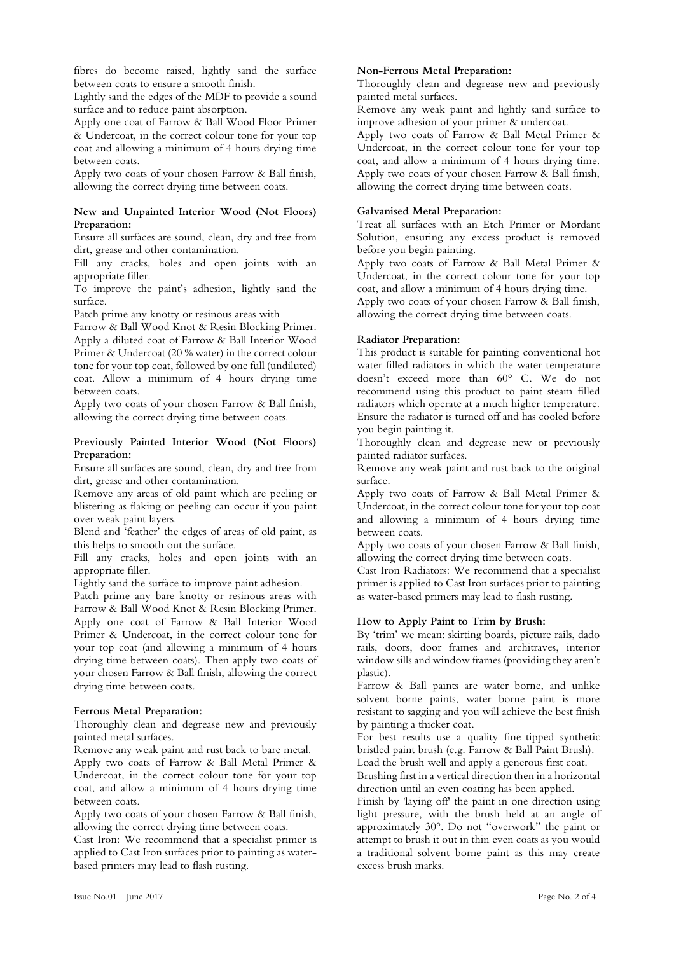fibres do become raised, lightly sand the surface between coats to ensure a smooth finish.

Lightly sand the edges of the MDF to provide a sound surface and to reduce paint absorption.

Apply one coat of Farrow & Ball Wood Floor Primer & Undercoat, in the correct colour tone for your top coat and allowing a minimum of 4 hours drying time between coats.

Apply two coats of your chosen Farrow & Ball finish, allowing the correct drying time between coats.

#### **New and Unpainted Interior Wood (Not Floors) Preparation:**

Ensure all surfaces are sound, clean, dry and free from dirt, grease and other contamination.

Fill any cracks, holes and open joints with an appropriate filler.

To improve the paint's adhesion, lightly sand the surface.

Patch prime any knotty or resinous areas with

Farrow & Ball Wood Knot & Resin Blocking Primer. Apply a diluted coat of Farrow & Ball Interior Wood Primer & Undercoat (20 % water) in the correct colour tone for your top coat, followed by one full (undiluted) coat. Allow a minimum of 4 hours drying time between coats.

Apply two coats of your chosen Farrow & Ball finish, allowing the correct drying time between coats.

#### **Previously Painted Interior Wood (Not Floors) Preparation:**

Ensure all surfaces are sound, clean, dry and free from dirt, grease and other contamination.

Remove any areas of old paint which are peeling or blistering as flaking or peeling can occur if you paint over weak paint layers.

Blend and 'feather' the edges of areas of old paint, as this helps to smooth out the surface.

Fill any cracks, holes and open joints with an appropriate filler.

Lightly sand the surface to improve paint adhesion.

Patch prime any bare knotty or resinous areas with Farrow & Ball Wood Knot & Resin Blocking Primer. Apply one coat of Farrow & Ball Interior Wood Primer & Undercoat, in the correct colour tone for your top coat (and allowing a minimum of 4 hours drying time between coats). Then apply two coats of your chosen Farrow & Ball finish, allowing the correct drying time between coats.

#### **Ferrous Metal Preparation:**

Thoroughly clean and degrease new and previously painted metal surfaces.

Remove any weak paint and rust back to bare metal.

Apply two coats of Farrow & Ball Metal Primer & Undercoat, in the correct colour tone for your top coat, and allow a minimum of 4 hours drying time between coats.

Apply two coats of your chosen Farrow & Ball finish, allowing the correct drying time between coats.

Cast Iron: We recommend that a specialist primer is applied to Cast Iron surfaces prior to painting as waterbased primers may lead to flash rusting.

#### **Non-Ferrous Metal Preparation:**

Thoroughly clean and degrease new and previously painted metal surfaces.

Remove any weak paint and lightly sand surface to improve adhesion of your primer & undercoat.

Apply two coats of Farrow & Ball Metal Primer & Undercoat, in the correct colour tone for your top coat, and allow a minimum of 4 hours drying time. Apply two coats of your chosen Farrow & Ball finish, allowing the correct drying time between coats.

#### **Galvanised Metal Preparation:**

Treat all surfaces with an Etch Primer or Mordant Solution, ensuring any excess product is removed before you begin painting.

Apply two coats of Farrow & Ball Metal Primer & Undercoat, in the correct colour tone for your top coat, and allow a minimum of 4 hours drying time.

Apply two coats of your chosen Farrow & Ball finish, allowing the correct drying time between coats.

#### **Radiator Preparation:**

This product is suitable for painting conventional hot water filled radiators in which the water temperature doesn't exceed more than 60° C. We do not recommend using this product to paint steam filled radiators which operate at a much higher temperature. Ensure the radiator is turned off and has cooled before you begin painting it.

Thoroughly clean and degrease new or previously painted radiator surfaces.

Remove any weak paint and rust back to the original surface.

Apply two coats of Farrow & Ball Metal Primer & Undercoat, in the correct colour tone for your top coat and allowing a minimum of 4 hours drying time between coats.

Apply two coats of your chosen Farrow & Ball finish, allowing the correct drying time between coats.

Cast Iron Radiators: We recommend that a specialist primer is applied to Cast Iron surfaces prior to painting as water-based primers may lead to flash rusting.

#### **How to Apply Paint to Trim by Brush:**

By 'trim' we mean: skirting boards, picture rails, dado rails, doors, door frames and architraves, interior window sills and window frames (providing they aren't plastic).

Farrow & Ball paints are water borne, and unlike solvent borne paints, water borne paint is more resistant to sagging and you will achieve the best finish by painting a thicker coat.

For best results use a quality fine-tipped synthetic bristled paint brush (e.g. Farrow & Ball Paint Brush).

Load the brush well and apply a generous first coat.

Brushing first in a vertical direction then in a horizontal direction until an even coating has been applied.

Finish by 'laying off' the paint in one direction using light pressure, with the brush held at an angle of approximately 30°. Do not "overwork" the paint or attempt to brush it out in thin even coats as you would a traditional solvent borne paint as this may create excess brush marks.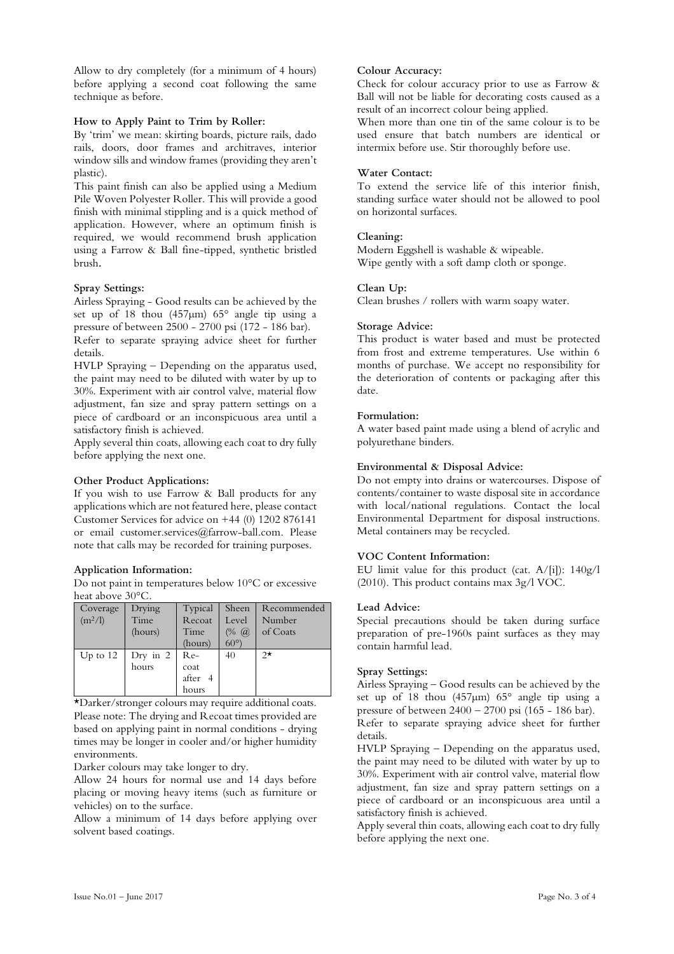Allow to dry completely (for a minimum of 4 hours) before applying a second coat following the same technique as before.

#### **How to Apply Paint to Trim by Roller:**

By 'trim' we mean: skirting boards, picture rails, dado rails, doors, door frames and architraves, interior window sills and window frames (providing they aren't plastic).

This paint finish can also be applied using a Medium Pile Woven Polyester Roller. This will provide a good finish with minimal stippling and is a quick method of application. However, where an optimum finish is required, we would recommend brush application using a Farrow & Ball fine-tipped, synthetic bristled brush**.**

#### **Spray Settings:**

Airless Spraying - Good results can be achieved by the set up of 18 thou (457µm) 65° angle tip using a pressure of between 2500 - 2700 psi (172 - 186 bar). Refer to separate spraying advice sheet for further details.

HVLP Spraying – Depending on the apparatus used, the paint may need to be diluted with water by up to 30%. Experiment with air control valve, material flow adjustment, fan size and spray pattern settings on a piece of cardboard or an inconspicuous area until a satisfactory finish is achieved.

Apply several thin coats, allowing each coat to dry fully before applying the next one.

#### **Other Product Applications:**

If you wish to use Farrow & Ball products for any applications which are not featured here, please contact Customer Services for advice on  $+44$  (0) 1202 876141 or email customer.services@farrow-ball.com. Please note that calls may be recorded for training purposes.

#### **Application Information:**

Do not paint in temperatures below 10°C or excessive heat above 30°C.

| Coverage   | Drying     | Typical | Sheen           | Recommended |
|------------|------------|---------|-----------------|-------------|
| $(m^2/l)$  | Time       | Recoat  | Level           | Number      |
|            | (hours)    | Time    | $(% \; \alpha)$ | of Coats    |
|            |            | (hours) | $60^{\circ}$    |             |
| Up to $12$ | Dry in $2$ | $Re-$   | 40              | $2\star$    |
|            | hours      | coat    |                 |             |
|            |            | after 4 |                 |             |
|            |            | hours   |                 |             |

\*Darker/stronger colours may require additional coats. Please note: The drying and Recoat times provided are based on applying paint in normal conditions - drying times may be longer in cooler and/or higher humidity environments.

Darker colours may take longer to dry.

Allow 24 hours for normal use and 14 days before placing or moving heavy items (such as furniture or vehicles) on to the surface.

Allow a minimum of 14 days before applying over solvent based coatings.

#### **Colour Accuracy:**

Check for colour accuracy prior to use as Farrow & Ball will not be liable for decorating costs caused as a result of an incorrect colour being applied.

When more than one tin of the same colour is to be used ensure that batch numbers are identical or intermix before use. Stir thoroughly before use.

#### **Water Contact:**

To extend the service life of this interior finish, standing surface water should not be allowed to pool on horizontal surfaces.

#### **Cleaning:**

Modern Eggshell is washable & wipeable. Wipe gently with a soft damp cloth or sponge.

#### **Clean Up:**

Clean brushes / rollers with warm soapy water.

#### **Storage Advice:**

This product is water based and must be protected from frost and extreme temperatures. Use within 6 months of purchase. We accept no responsibility for the deterioration of contents or packaging after this date.

#### **Formulation:**

A water based paint made using a blend of acrylic and polyurethane binders.

#### **Environmental & Disposal Advice:**

Do not empty into drains or watercourses. Dispose of contents/container to waste disposal site in accordance with local/national regulations. Contact the local Environmental Department for disposal instructions. Metal containers may be recycled.

#### **VOC Content Information:**

EU limit value for this product (cat. A/[i]): 140g/l (2010). This product contains max 3g/l VOC.

#### **Lead Advice:**

Special precautions should be taken during surface preparation of pre-1960s paint surfaces as they may contain harmful lead.

#### **Spray Settings:**

Airless Spraying – Good results can be achieved by the set up of 18 thou (457µm) 65° angle tip using a pressure of between 2400 – 2700 psi (165 - 186 bar). Refer to separate spraying advice sheet for further details.

HVLP Spraying – Depending on the apparatus used, the paint may need to be diluted with water by up to 30%. Experiment with air control valve, material flow adjustment, fan size and spray pattern settings on a piece of cardboard or an inconspicuous area until a satisfactory finish is achieved.

Apply several thin coats, allowing each coat to dry fully before applying the next one.